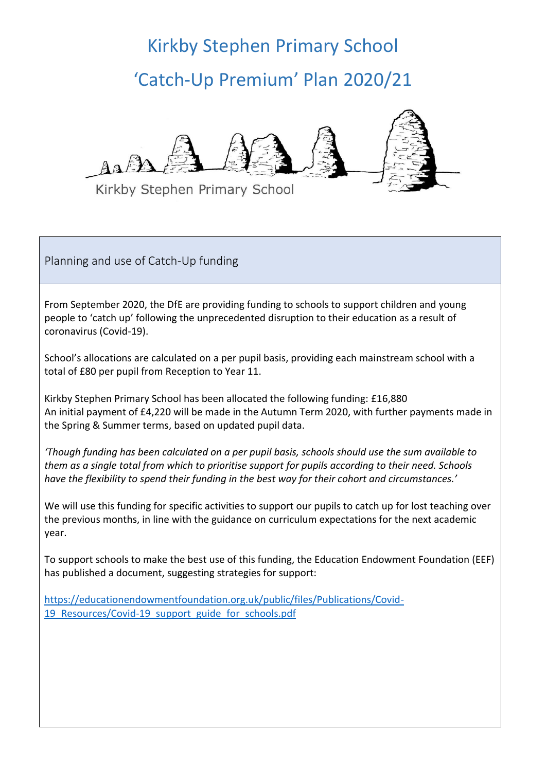## Kirkby Stephen Primary School 'Catch-Up Premium' Plan 2020/21



Kirkby Stephen Primary School

Planning and use of Catch-Up funding

From September 2020, the DfE are providing funding to schools to support children and young people to 'catch up' following the unprecedented disruption to their education as a result of coronavirus (Covid-19).

School's allocations are calculated on a per pupil basis, providing each mainstream school with a total of £80 per pupil from Reception to Year 11.

Kirkby Stephen Primary School has been allocated the following funding: £16,880 An initial payment of £4,220 will be made in the Autumn Term 2020, with further payments made in the Spring & Summer terms, based on updated pupil data.

*'Though funding has been calculated on a per pupil basis, schools should use the sum available to them as a single total from which to prioritise support for pupils according to their need. Schools have the flexibility to spend their funding in the best way for their cohort and circumstances.'*

We will use this funding for specific activities to support our pupils to catch up for lost teaching over the previous months, in line with the guidance on curriculum expectations for the next academic year.

To support schools to make the best use of this funding, the Education Endowment Foundation (EEF) has published a document, suggesting strategies for support:

[https://educationendowmentfoundation.org.uk/public/files/Publications/Covid-](https://educationendowmentfoundation.org.uk/public/files/Publications/Covid-19_Resources/Covid-19_support_guide_for_schools.pdf)19 Resources/Covid-19 support guide for schools.pdf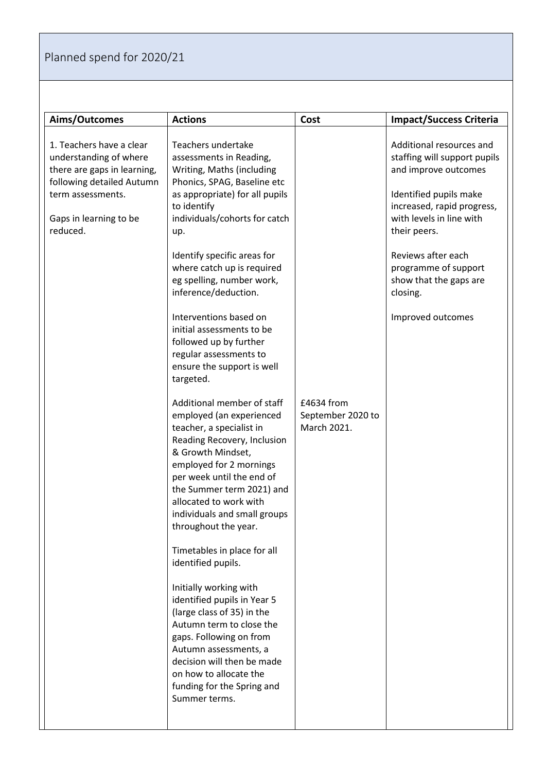## Planned spend for 2020/21

| Aims/Outcomes                                                                                                                                                             | <b>Actions</b>                                                                                                                                                                                                                                                                                                                                                                                                                                                                                                                                                                                                                                                                                                                                                                                                                                                                                                                                                                                                                                                                                                                 | Cost                                           | <b>Impact/Success Criteria</b>                                                                                                                                                                                                                                                                |
|---------------------------------------------------------------------------------------------------------------------------------------------------------------------------|--------------------------------------------------------------------------------------------------------------------------------------------------------------------------------------------------------------------------------------------------------------------------------------------------------------------------------------------------------------------------------------------------------------------------------------------------------------------------------------------------------------------------------------------------------------------------------------------------------------------------------------------------------------------------------------------------------------------------------------------------------------------------------------------------------------------------------------------------------------------------------------------------------------------------------------------------------------------------------------------------------------------------------------------------------------------------------------------------------------------------------|------------------------------------------------|-----------------------------------------------------------------------------------------------------------------------------------------------------------------------------------------------------------------------------------------------------------------------------------------------|
| 1. Teachers have a clear<br>understanding of where<br>there are gaps in learning,<br>following detailed Autumn<br>term assessments.<br>Gaps in learning to be<br>reduced. | Teachers undertake<br>assessments in Reading,<br>Writing, Maths (including<br>Phonics, SPAG, Baseline etc<br>as appropriate) for all pupils<br>to identify<br>individuals/cohorts for catch<br>up.<br>Identify specific areas for<br>where catch up is required<br>eg spelling, number work,<br>inference/deduction.<br>Interventions based on<br>initial assessments to be<br>followed up by further<br>regular assessments to<br>ensure the support is well<br>targeted.<br>Additional member of staff<br>employed (an experienced<br>teacher, a specialist in<br>Reading Recovery, Inclusion<br>& Growth Mindset,<br>employed for 2 mornings<br>per week until the end of<br>the Summer term 2021) and<br>allocated to work with<br>individuals and small groups<br>throughout the year.<br>Timetables in place for all<br>identified pupils.<br>Initially working with<br>identified pupils in Year 5<br>(large class of 35) in the<br>Autumn term to close the<br>gaps. Following on from<br>Autumn assessments, a<br>decision will then be made<br>on how to allocate the<br>funding for the Spring and<br>Summer terms. | £4634 from<br>September 2020 to<br>March 2021. | Additional resources and<br>staffing will support pupils<br>and improve outcomes<br>Identified pupils make<br>increased, rapid progress,<br>with levels in line with<br>their peers.<br>Reviews after each<br>programme of support<br>show that the gaps are<br>closing.<br>Improved outcomes |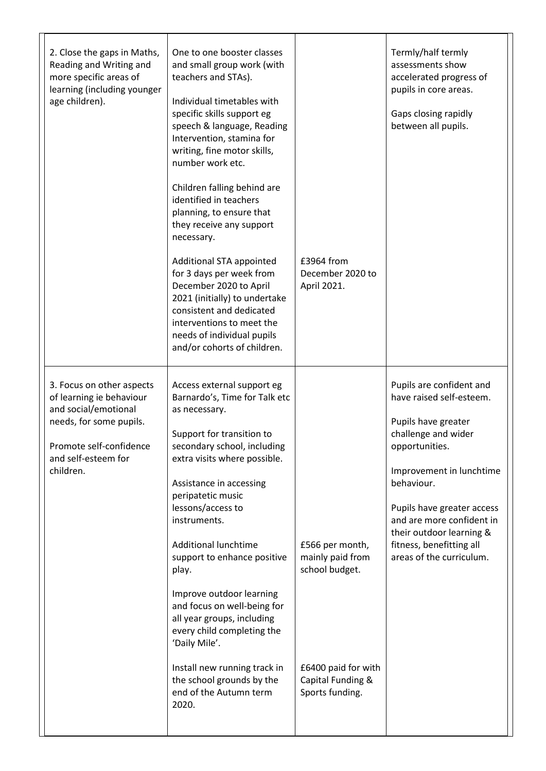| 2. Close the gaps in Maths,<br>Reading and Writing and<br>more specific areas of<br>learning (including younger<br>age children).                                       | One to one booster classes<br>and small group work (with<br>teachers and STAs).<br>Individual timetables with<br>specific skills support eg<br>speech & language, Reading<br>Intervention, stamina for<br>writing, fine motor skills,<br>number work etc.<br>Children falling behind are<br>identified in teachers<br>planning, to ensure that<br>they receive any support<br>necessary.<br>Additional STA appointed<br>for 3 days per week from<br>December 2020 to April<br>2021 (initially) to undertake<br>consistent and dedicated<br>interventions to meet the<br>needs of individual pupils<br>and/or cohorts of children. | £3964 from<br>December 2020 to<br>April 2021.                                                                        | Termly/half termly<br>assessments show<br>accelerated progress of<br>pupils in core areas.<br>Gaps closing rapidly<br>between all pupils.                                                                                                                                                                     |
|-------------------------------------------------------------------------------------------------------------------------------------------------------------------------|-----------------------------------------------------------------------------------------------------------------------------------------------------------------------------------------------------------------------------------------------------------------------------------------------------------------------------------------------------------------------------------------------------------------------------------------------------------------------------------------------------------------------------------------------------------------------------------------------------------------------------------|----------------------------------------------------------------------------------------------------------------------|---------------------------------------------------------------------------------------------------------------------------------------------------------------------------------------------------------------------------------------------------------------------------------------------------------------|
| 3. Focus on other aspects<br>of learning ie behaviour<br>and social/emotional<br>needs, for some pupils.<br>Promote self-confidence<br>and self-esteem for<br>children. | Access external support eg<br>Barnardo's, Time for Talk etc<br>as necessary.<br>Support for transition to<br>secondary school, including<br>extra visits where possible.<br>Assistance in accessing<br>peripatetic music<br>lessons/access to<br>instruments.<br><b>Additional lunchtime</b><br>support to enhance positive<br>play.<br>Improve outdoor learning<br>and focus on well-being for<br>all year groups, including<br>every child completing the<br>'Daily Mile'.<br>Install new running track in<br>the school grounds by the<br>end of the Autumn term<br>2020.                                                      | £566 per month,<br>mainly paid from<br>school budget.<br>£6400 paid for with<br>Capital Funding &<br>Sports funding. | Pupils are confident and<br>have raised self-esteem.<br>Pupils have greater<br>challenge and wider<br>opportunities.<br>Improvement in lunchtime<br>behaviour.<br>Pupils have greater access<br>and are more confident in<br>their outdoor learning &<br>fitness, benefitting all<br>areas of the curriculum. |